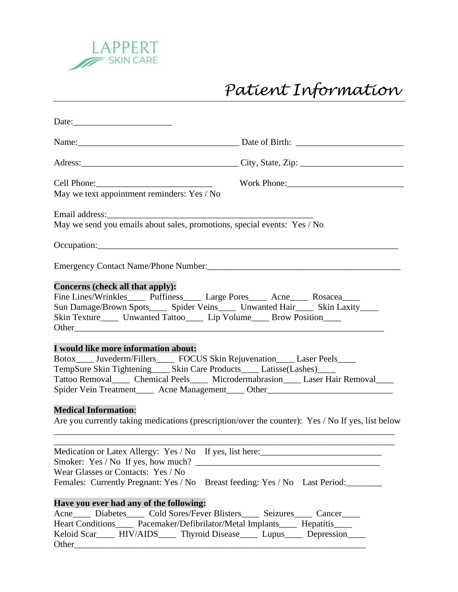

## *Patient Information*

|                                                                                                                                                                                                                                                                                                                                                                                                                                                                                                                            | Work Phone: 2008 and 2008 and 2008 and 2008 and 2008 and 2008 and 2008 and 2008 and 2008 and 2008 and 2008 and 2008 and 2008 and 2008 and 2008 and 2008 and 2008 and 2008 and 2008 and 2008 and 2008 and 2008 and 2008 and 200 |
|----------------------------------------------------------------------------------------------------------------------------------------------------------------------------------------------------------------------------------------------------------------------------------------------------------------------------------------------------------------------------------------------------------------------------------------------------------------------------------------------------------------------------|--------------------------------------------------------------------------------------------------------------------------------------------------------------------------------------------------------------------------------|
| May we text appointment reminders: Yes / No                                                                                                                                                                                                                                                                                                                                                                                                                                                                                |                                                                                                                                                                                                                                |
|                                                                                                                                                                                                                                                                                                                                                                                                                                                                                                                            |                                                                                                                                                                                                                                |
| May we send you emails about sales, promotions, special events: Yes / No                                                                                                                                                                                                                                                                                                                                                                                                                                                   |                                                                                                                                                                                                                                |
|                                                                                                                                                                                                                                                                                                                                                                                                                                                                                                                            |                                                                                                                                                                                                                                |
| Emergency Contact Name/Phone Number:<br><u> Emergency Contact Name/Phone Number:</u>                                                                                                                                                                                                                                                                                                                                                                                                                                       |                                                                                                                                                                                                                                |
| Concerns (check all that apply):<br>Fine Lines/Wrinkles_____ Puffiness_____ Large Pores_____ Acne_____ Rosacea_____<br>Sun Damage/Brown Spots______ Spider Veins______ Unwanted Hair______ Skin Laxity_____<br>Skin Texture_____ Unwanted Tattoo_____ Lip Volume_____ Brow Position____                                                                                                                                                                                                                                    |                                                                                                                                                                                                                                |
| I would like more information about:<br>Botox_____ Juvederm/Fillers______ FOCUS Skin Rejuvenation_____ Laser Peels_____<br>TempSure Skin Tightening_____ Skin Care Products_____ Latisse(Lashes)_____<br>Tattoo Removal______ Chemical Peels______ Microdermabrasion_____ Laser Hair Removal_____<br>Spider Vein Treatment______ Acne Management_____ Other___________________________<br><b>Medical Information:</b><br>Are you currently taking medications (prescription/over the counter): Yes / No If yes, list below |                                                                                                                                                                                                                                |
| Medication or Latex Allergy: Yes / No If yes, list here: ________________________<br>Smoker: Yes / No If yes, how much?<br>Wear Glasses or Contacts: Yes / No<br>Females: Currently Pregnant: Yes / No                                                                                                                                                                                                                                                                                                                     | Breast feeding: Yes / No Last Period:                                                                                                                                                                                          |
| Have you ever had any of the following:<br>Acne Diabetes Cold Sores/Fever Blisters Seizures Cancer<br>Heart Conditions______ Pacemaker/Defibrilator/Metal Implants_____ Hepatitis_____<br>Keloid Scar____ HIV/AIDS____ Thyroid Disease____ Lupus____ Depression____                                                                                                                                                                                                                                                        |                                                                                                                                                                                                                                |